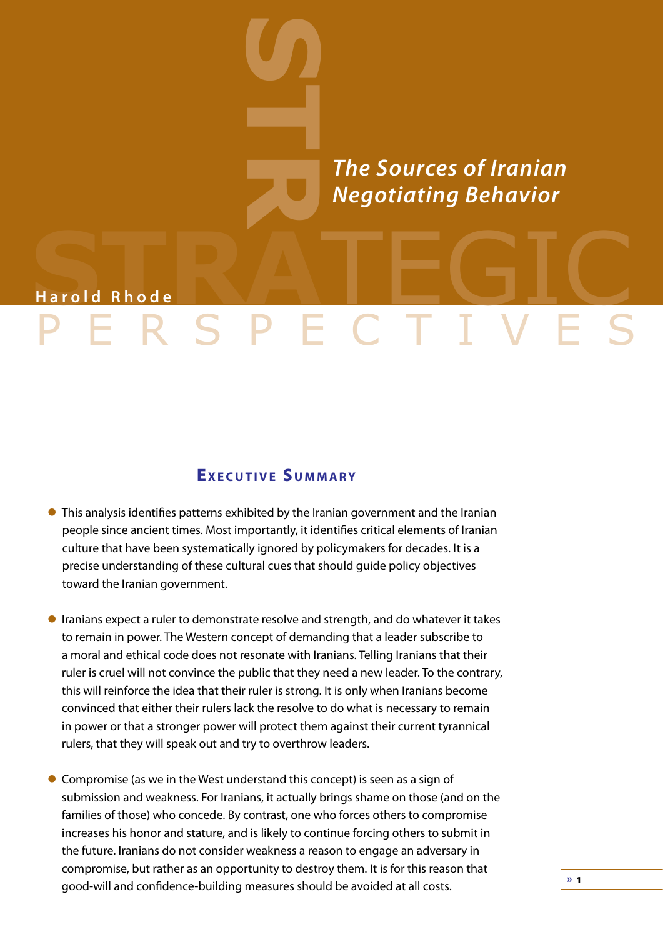The Sources of Iranian<br>
Regotiating Behavior<br>
Harold Rhode<br> **STRATEGIC COLOR** *The Sources of Iranian Negotiating Behavior*

**Harold Rhode**

# RSPECTIVE

# **Executive Summary**

- This analysis identifies patterns exhibited by the Iranian government and the Iranian people since ancient times. Most importantly, it identifies critical elements of Iranian culture that have been systematically ignored by policymakers for decades. It is a precise understanding of these cultural cues that should guide policy objectives toward the Iranian government.
- Iranians expect a ruler to demonstrate resolve and strength, and do whatever it takes to remain in power. The Western concept of demanding that a leader subscribe to a moral and ethical code does not resonate with Iranians. Telling Iranians that their ruler is cruel will not convince the public that they need a new leader. To the contrary, this will reinforce the idea that their ruler is strong. It is only when Iranians become convinced that either their rulers lack the resolve to do what is necessary to remain in power or that a stronger power will protect them against their current tyrannical rulers, that they will speak out and try to overthrow leaders.
- Compromise (as we in the West understand this concept) is seen as a sign of submission and weakness. For Iranians, it actually brings shame on those (and on the families of those) who concede. By contrast, one who forces others to compromise increases his honor and stature, and is likely to continue forcing others to submit in the future. Iranians do not consider weakness a reason to engage an adversary in compromise, but rather as an opportunity to destroy them. It is for this reason that good-will and confidence-building measures should be avoided at all costs.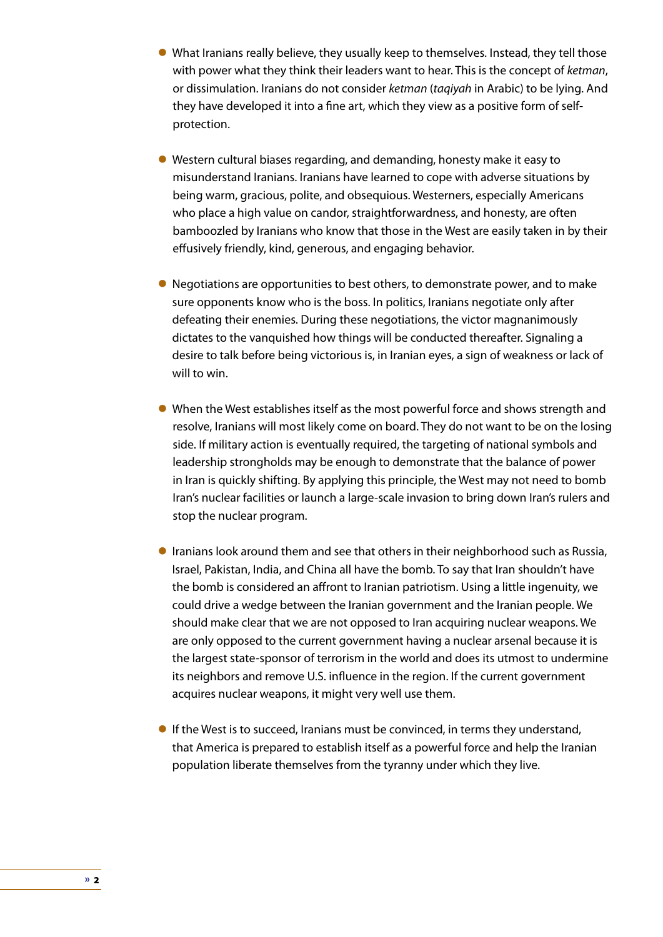- What Iranians really believe, they usually keep to themselves. Instead, they tell those with power what they think their leaders want to hear. This is the concept of *ketman*, or dissimulation. Iranians do not consider *ketman* (*taqiyah* in Arabic) to be lying. And they have developed it into a fine art, which they view as a positive form of selfprotection.
- Western cultural biases regarding, and demanding, honesty make it easy to misunderstand Iranians. Iranians have learned to cope with adverse situations by being warm, gracious, polite, and obsequious. Westerners, especially Americans who place a high value on candor, straightforwardness, and honesty, are often bamboozled by Iranians who know that those in the West are easily taken in by their effusively friendly, kind, generous, and engaging behavior.
- Negotiations are opportunities to best others, to demonstrate power, and to make sure opponents know who is the boss. In politics, Iranians negotiate only after defeating their enemies. During these negotiations, the victor magnanimously dictates to the vanquished how things will be conducted thereafter. Signaling a desire to talk before being victorious is, in Iranian eyes, a sign of weakness or lack of will to win.
- When the West establishes itself as the most powerful force and shows strength and resolve, Iranians will most likely come on board. They do not want to be on the losing side. If military action is eventually required, the targeting of national symbols and leadership strongholds may be enough to demonstrate that the balance of power in Iran is quickly shifting. By applying this principle, the West may not need to bomb Iran's nuclear facilities or launch a large-scale invasion to bring down Iran's rulers and stop the nuclear program.
- Iranians look around them and see that others in their neighborhood such as Russia, Israel, Pakistan, India, and China all have the bomb. To say that Iran shouldn't have the bomb is considered an affront to Iranian patriotism. Using a little ingenuity, we could drive a wedge between the Iranian government and the Iranian people. We should make clear that we are not opposed to Iran acquiring nuclear weapons. We are only opposed to the current government having a nuclear arsenal because it is the largest state-sponsor of terrorism in the world and does its utmost to undermine its neighbors and remove U.S. influence in the region. If the current government acquires nuclear weapons, it might very well use them.
- If the West is to succeed, Iranians must be convinced, in terms they understand, that America is prepared to establish itself as a powerful force and help the Iranian population liberate themselves from the tyranny under which they live.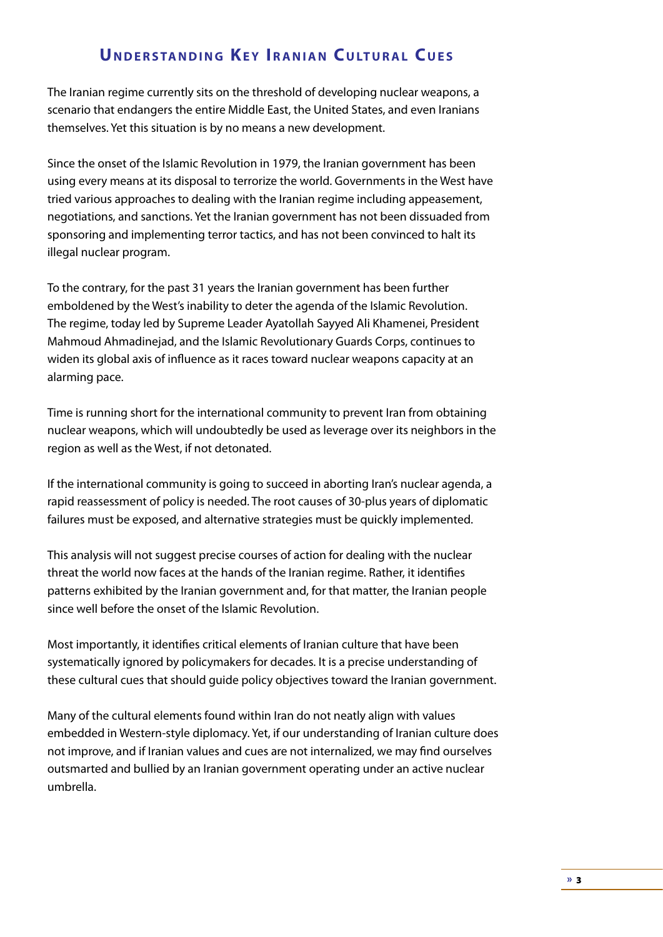# **UNDERSTANDING KEY IRANIAN CULTURAL CUES**

The Iranian regime currently sits on the threshold of developing nuclear weapons, a scenario that endangers the entire Middle East, the United States, and even Iranians themselves. Yet this situation is by no means a new development.

Since the onset of the Islamic Revolution in 1979, the Iranian government has been using every means at its disposal to terrorize the world. Governments in the West have tried various approaches to dealing with the Iranian regime including appeasement, negotiations, and sanctions. Yet the Iranian government has not been dissuaded from sponsoring and implementing terror tactics, and has not been convinced to halt its illegal nuclear program.

To the contrary, for the past 31 years the Iranian government has been further emboldened by the West's inability to deter the agenda of the Islamic Revolution. The regime, today led by Supreme Leader Ayatollah Sayyed Ali Khamenei, President Mahmoud Ahmadinejad, and the Islamic Revolutionary Guards Corps, continues to widen its global axis of influence as it races toward nuclear weapons capacity at an alarming pace.

Time is running short for the international community to prevent Iran from obtaining nuclear weapons, which will undoubtedly be used as leverage over its neighbors in the region as well as the West, if not detonated.

If the international community is going to succeed in aborting Iran's nuclear agenda, a rapid reassessment of policy is needed. The root causes of 30-plus years of diplomatic failures must be exposed, and alternative strategies must be quickly implemented.

This analysis will not suggest precise courses of action for dealing with the nuclear threat the world now faces at the hands of the Iranian regime. Rather, it identifies patterns exhibited by the Iranian government and, for that matter, the Iranian people since well before the onset of the Islamic Revolution.

Most importantly, it identifies critical elements of Iranian culture that have been systematically ignored by policymakers for decades. It is a precise understanding of these cultural cues that should guide policy objectives toward the Iranian government.

Many of the cultural elements found within Iran do not neatly align with values embedded in Western-style diplomacy. Yet, if our understanding of Iranian culture does not improve, and if Iranian values and cues are not internalized, we may find ourselves outsmarted and bullied by an Iranian government operating under an active nuclear umbrella.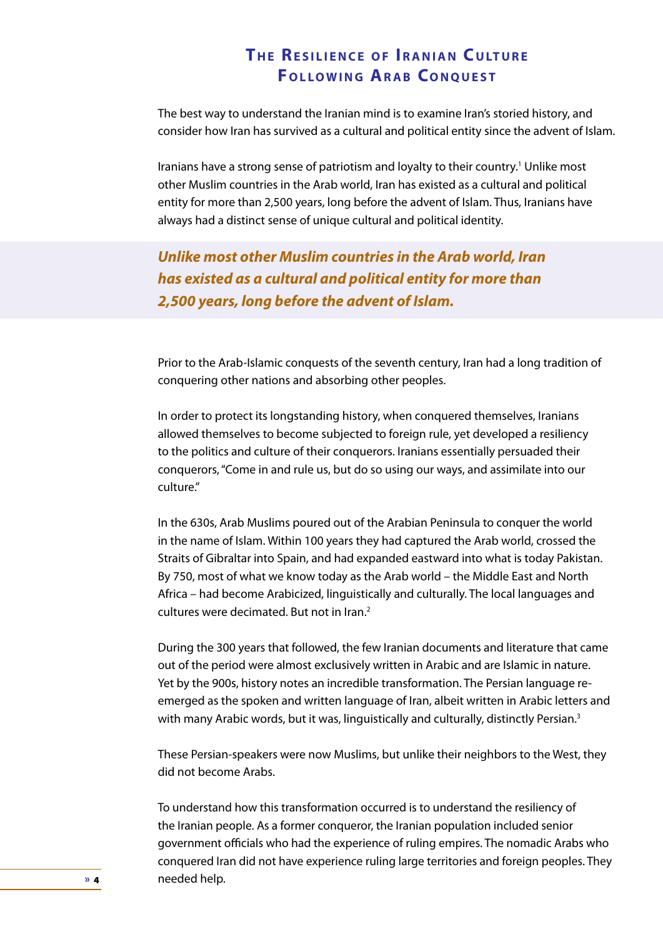# **THE RESILIENCE OF FRANIAN CULTURE FOLLOWING ARAB CONQUEST**

The best way to understand the Iranian mind is to examine Iran's storied history, and consider how Iran has survived as a cultural and political entity since the advent of Islam.

Iranians have a strong sense of patriotism and loyalty to their country.<sup>1</sup> Unlike most other Muslim countries in the Arab world, Iran has existed as a cultural and political entity for more than 2,500 years, long before the advent of Islam. Thus, Iranians have always had a distinct sense of unique cultural and political identity.

*Unlike most other Muslim countries in the Arab world, Iran has existed as a cultural and political entity for more than 2,500 years, long before the advent of Islam.*

Prior to the Arab-Islamic conquests of the seventh century, Iran had a long tradition of conquering other nations and absorbing other peoples.

In order to protect its longstanding history, when conquered themselves, Iranians allowed themselves to become subjected to foreign rule, yet developed a resiliency to the politics and culture of their conquerors. Iranians essentially persuaded their conquerors, "Come in and rule us, but do so using our ways, and assimilate into our culture."

In the 630s, Arab Muslims poured out of the Arabian Peninsula to conquer the world in the name of Islam. Within 100 years they had captured the Arab world, crossed the Straits of Gibraltar into Spain, and had expanded eastward into what is today Pakistan. By 750, most of what we know today as the Arab world – the Middle East and North Africa – had become Arabicized, linguistically and culturally. The local languages and cultures were decimated. But not in Iran.2

During the 300 years that followed, the few Iranian documents and literature that came out of the period were almost exclusively written in Arabic and are Islamic in nature. Yet by the 900s, history notes an incredible transformation. The Persian language reemerged as the spoken and written language of Iran, albeit written in Arabic letters and with many Arabic words, but it was, linguistically and culturally, distinctly Persian.<sup>3</sup>

These Persian-speakers were now Muslims, but unlike their neighbors to the West, they did not become Arabs.

To understand how this transformation occurred is to understand the resiliency of the Iranian people. As a former conqueror, the Iranian population included senior government officials who had the experience of ruling empires. The nomadic Arabs who conquered Iran did not have experience ruling large territories and foreign peoples. They needed help.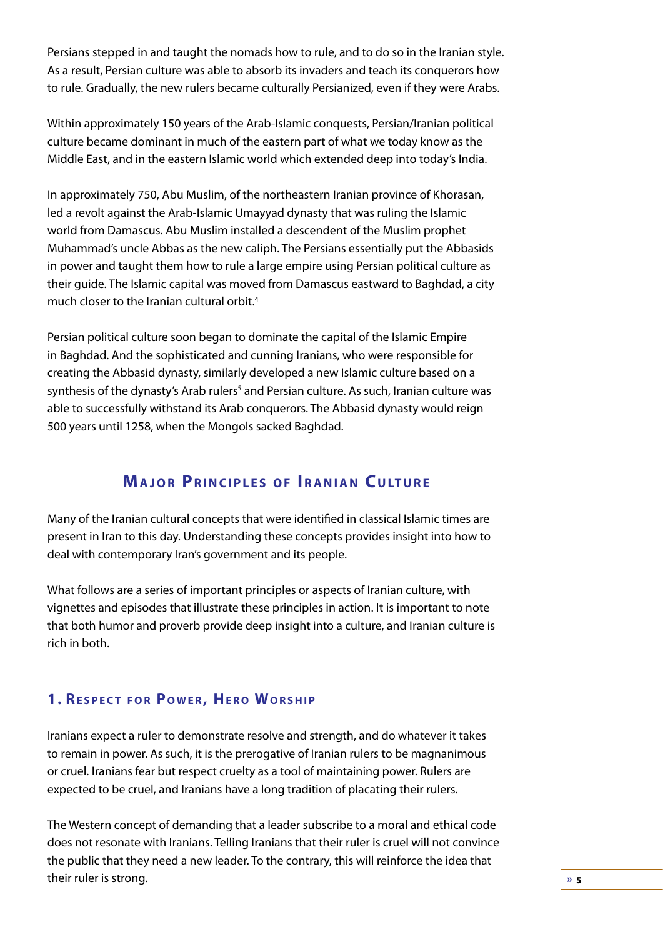Persians stepped in and taught the nomads how to rule, and to do so in the Iranian style. As a result, Persian culture was able to absorb its invaders and teach its conquerors how to rule. Gradually, the new rulers became culturally Persianized, even if they were Arabs.

Within approximately 150 years of the Arab-Islamic conquests, Persian/Iranian political culture became dominant in much of the eastern part of what we today know as the Middle East, and in the eastern Islamic world which extended deep into today's India.

In approximately 750, Abu Muslim, of the northeastern Iranian province of Khorasan, led a revolt against the Arab-Islamic Umayyad dynasty that was ruling the Islamic world from Damascus. Abu Muslim installed a descendent of the Muslim prophet Muhammad's uncle Abbas as the new caliph. The Persians essentially put the Abbasids in power and taught them how to rule a large empire using Persian political culture as their guide. The Islamic capital was moved from Damascus eastward to Baghdad, a city much closer to the Iranian cultural orbit.<sup>4</sup>

Persian political culture soon began to dominate the capital of the Islamic Empire in Baghdad. And the sophisticated and cunning Iranians, who were responsible for creating the Abbasid dynasty, similarly developed a new Islamic culture based on a synthesis of the dynasty's Arab rulers<sup>5</sup> and Persian culture. As such, Iranian culture was able to successfully withstand its Arab conquerors. The Abbasid dynasty would reign 500 years until 1258, when the Mongols sacked Baghdad.

# **MAJOR PRINCIPLES OF FRANIAN CULTURE**

Many of the Iranian cultural concepts that were identified in classical Islamic times are present in Iran to this day. Understanding these concepts provides insight into how to deal with contemporary Iran's government and its people.

What follows are a series of important principles or aspects of Iranian culture, with vignettes and episodes that illustrate these principles in action. It is important to note that both humor and proverb provide deep insight into a culture, and Iranian culture is rich in both.

#### **1. RESPECT FOR POWER, HERO WORSHIP**

Iranians expect a ruler to demonstrate resolve and strength, and do whatever it takes to remain in power. As such, it is the prerogative of Iranian rulers to be magnanimous or cruel. Iranians fear but respect cruelty as a tool of maintaining power. Rulers are expected to be cruel, and Iranians have a long tradition of placating their rulers.

The Western concept of demanding that a leader subscribe to a moral and ethical code does not resonate with Iranians. Telling Iranians that their ruler is cruel will not convince the public that they need a new leader. To the contrary, this will reinforce the idea that their ruler is strong.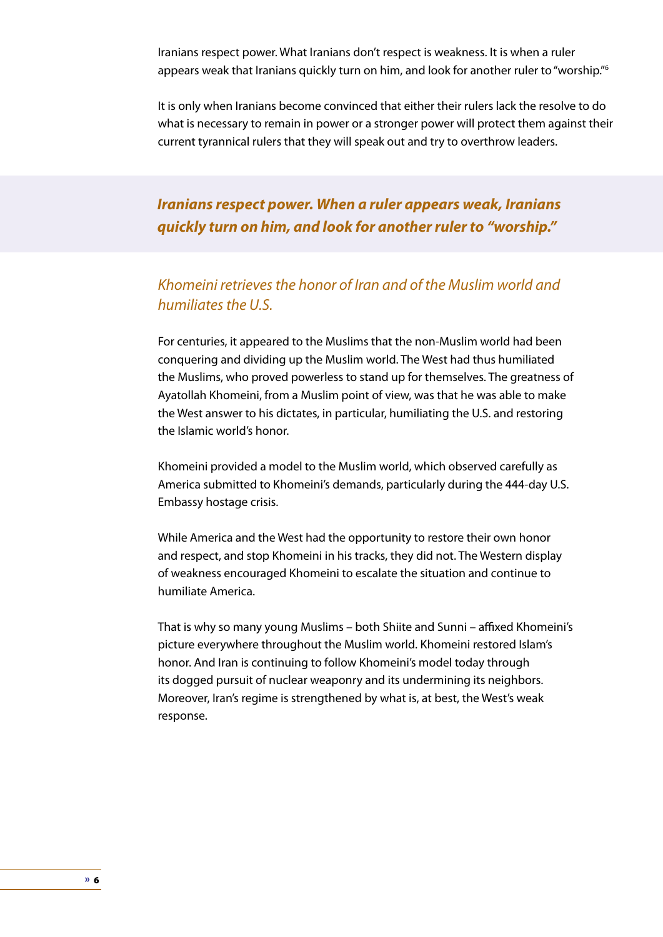Iranians respect power. What Iranians don't respect is weakness. It is when a ruler appears weak that Iranians quickly turn on him, and look for another ruler to "worship."6

It is only when Iranians become convinced that either their rulers lack the resolve to do what is necessary to remain in power or a stronger power will protect them against their current tyrannical rulers that they will speak out and try to overthrow leaders.

# *Iranians respect power. When a ruler appears weak, Iranians quickly turn on him, and look for another ruler to "worship."*

# *Khomeini retrieves the honor of Iran and of the Muslim world and humiliates the U.S.*

For centuries, it appeared to the Muslims that the non-Muslim world had been conquering and dividing up the Muslim world. The West had thus humiliated the Muslims, who proved powerless to stand up for themselves. The greatness of Ayatollah Khomeini, from a Muslim point of view, was that he was able to make the West answer to his dictates, in particular, humiliating the U.S. and restoring the Islamic world's honor.

Khomeini provided a model to the Muslim world, which observed carefully as America submitted to Khomeini's demands, particularly during the 444-day U.S. Embassy hostage crisis.

While America and the West had the opportunity to restore their own honor and respect, and stop Khomeini in his tracks, they did not. The Western display of weakness encouraged Khomeini to escalate the situation and continue to humiliate America.

That is why so many young Muslims – both Shiite and Sunni – affixed Khomeini's picture everywhere throughout the Muslim world. Khomeini restored Islam's honor. And Iran is continuing to follow Khomeini's model today through its dogged pursuit of nuclear weaponry and its undermining its neighbors. Moreover, Iran's regime is strengthened by what is, at best, the West's weak response.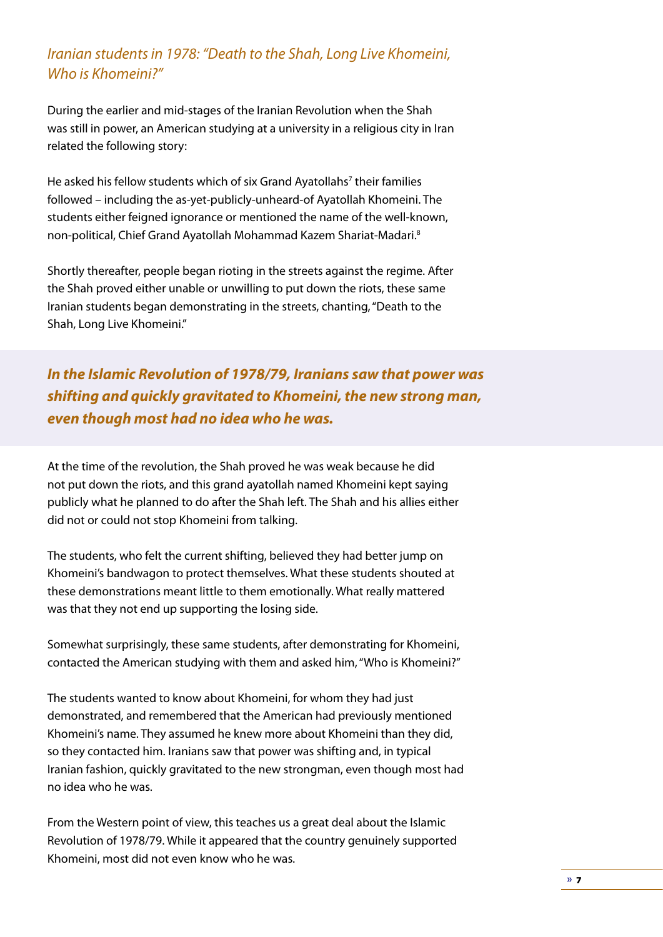# *Iranian students in 1978: "Death to the Shah, Long Live Khomeini, Who is Khomeini?"*

During the earlier and mid-stages of the Iranian Revolution when the Shah was still in power, an American studying at a university in a religious city in Iran related the following story:

He asked his fellow students which of six Grand Ayatollahs<sup>7</sup> their families followed – including the as-yet-publicly-unheard-of Ayatollah Khomeini. The students either feigned ignorance or mentioned the name of the well-known, non-political, Chief Grand Ayatollah Mohammad Kazem Shariat-Madari.8

Shortly thereafter, people began rioting in the streets against the regime. After the Shah proved either unable or unwilling to put down the riots, these same Iranian students began demonstrating in the streets, chanting, "Death to the Shah, Long Live Khomeini."

*In the Islamic Revolution of 1978/79, Iranians saw that power was shifting and quickly gravitated to Khomeini, the new strong man, even though most had no idea who he was.*

At the time of the revolution, the Shah proved he was weak because he did not put down the riots, and this grand ayatollah named Khomeini kept saying publicly what he planned to do after the Shah left. The Shah and his allies either did not or could not stop Khomeini from talking.

The students, who felt the current shifting, believed they had better jump on Khomeini's bandwagon to protect themselves. What these students shouted at these demonstrations meant little to them emotionally. What really mattered was that they not end up supporting the losing side.

Somewhat surprisingly, these same students, after demonstrating for Khomeini, contacted the American studying with them and asked him, "Who is Khomeini?"

The students wanted to know about Khomeini, for whom they had just demonstrated, and remembered that the American had previously mentioned Khomeini's name. They assumed he knew more about Khomeini than they did, so they contacted him. Iranians saw that power was shifting and, in typical Iranian fashion, quickly gravitated to the new strongman, even though most had no idea who he was.

From the Western point of view, this teaches us a great deal about the Islamic Revolution of 1978/79. While it appeared that the country genuinely supported Khomeini, most did not even know who he was.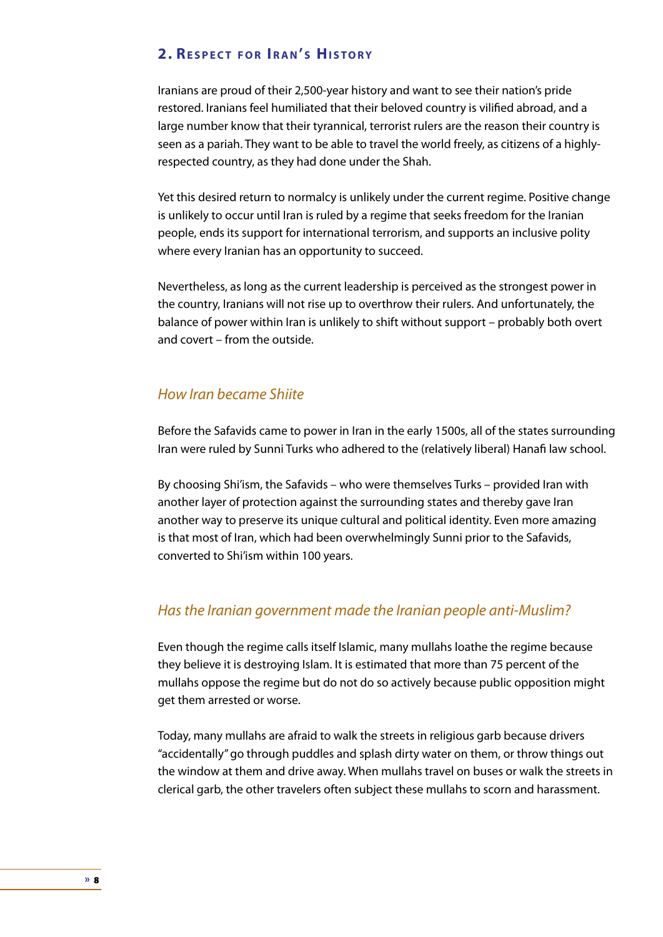#### **2. Respec t for Iran's Hi <sup>s</sup> tory**

Iranians are proud of their 2,500-year history and want to see their nation's pride restored. Iranians feel humiliated that their beloved country is vilified abroad, and a large number know that their tyrannical, terrorist rulers are the reason their country is seen as a pariah. They want to be able to travel the world freely, as citizens of a highlyrespected country, as they had done under the Shah.

Yet this desired return to normalcy is unlikely under the current regime. Positive change is unlikely to occur until Iran is ruled by a regime that seeks freedom for the Iranian people, ends its support for international terrorism, and supports an inclusive polity where every Iranian has an opportunity to succeed.

Nevertheless, as long as the current leadership is perceived as the strongest power in the country, Iranians will not rise up to overthrow their rulers. And unfortunately, the balance of power within Iran is unlikely to shift without support – probably both overt and covert – from the outside.

#### *How Iran became Shiite*

Before the Safavids came to power in Iran in the early 1500s, all of the states surrounding Iran were ruled by Sunni Turks who adhered to the (relatively liberal) Hanafi law school.

By choosing Shi'ism, the Safavids – who were themselves Turks – provided Iran with another layer of protection against the surrounding states and thereby gave Iran another way to preserve its unique cultural and political identity. Even more amazing is that most of Iran, which had been overwhelmingly Sunni prior to the Safavids, converted to Shi'ism within 100 years.

#### *Has the Iranian government made the Iranian people anti-Muslim?*

Even though the regime calls itself Islamic, many mullahs loathe the regime because they believe it is destroying Islam. It is estimated that more than 75 percent of the mullahs oppose the regime but do not do so actively because public opposition might get them arrested or worse.

Today, many mullahs are afraid to walk the streets in religious garb because drivers "accidentally" go through puddles and splash dirty water on them, or throw things out the window at them and drive away. When mullahs travel on buses or walk the streets in clerical garb, the other travelers often subject these mullahs to scorn and harassment.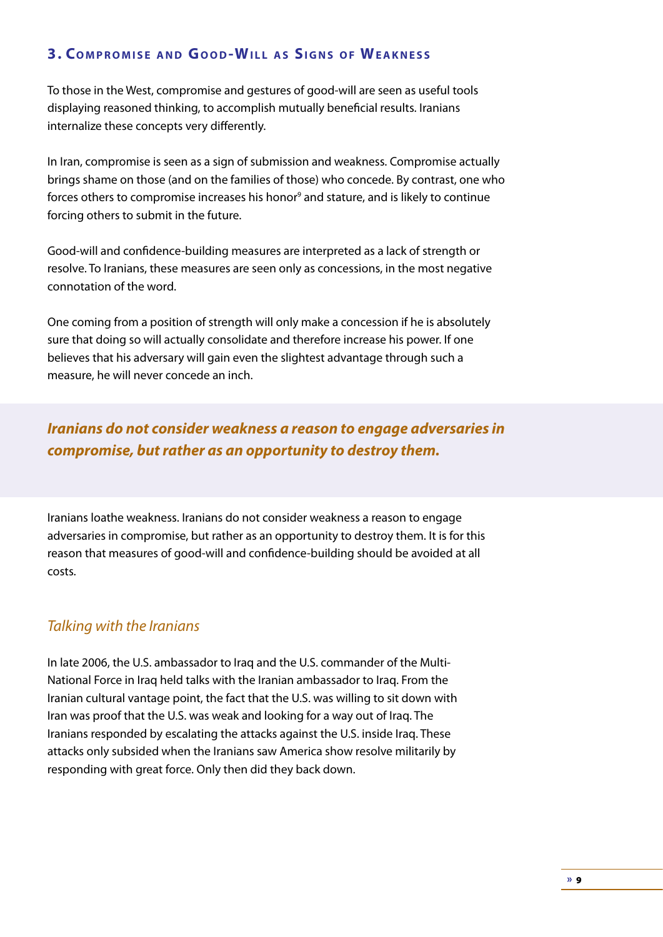#### **3. COMPROMISE AND GOOD-WILL AS SIGNS OF WEAKNESS**

To those in the West, compromise and gestures of good-will are seen as useful tools displaying reasoned thinking, to accomplish mutually beneficial results. Iranians internalize these concepts very differently.

In Iran, compromise is seen as a sign of submission and weakness. Compromise actually brings shame on those (and on the families of those) who concede. By contrast, one who forces others to compromise increases his honor<sup>9</sup> and stature, and is likely to continue forcing others to submit in the future.

Good-will and confidence-building measures are interpreted as a lack of strength or resolve. To Iranians, these measures are seen only as concessions, in the most negative connotation of the word.

One coming from a position of strength will only make a concession if he is absolutely sure that doing so will actually consolidate and therefore increase his power. If one believes that his adversary will gain even the slightest advantage through such a measure, he will never concede an inch.

*Iranians do not consider weakness a reason to engage adversaries in compromise, but rather as an opportunity to destroy them.*

Iranians loathe weakness. Iranians do not consider weakness a reason to engage adversaries in compromise, but rather as an opportunity to destroy them. It is for this reason that measures of good-will and confidence-building should be avoided at all costs.

#### *Talking with the Iranians*

In late 2006, the U.S. ambassador to Iraq and the U.S. commander of the Multi-National Force in Iraq held talks with the Iranian ambassador to Iraq. From the Iranian cultural vantage point, the fact that the U.S. was willing to sit down with Iran was proof that the U.S. was weak and looking for a way out of Iraq. The Iranians responded by escalating the attacks against the U.S. inside Iraq. These attacks only subsided when the Iranians saw America show resolve militarily by responding with great force. Only then did they back down.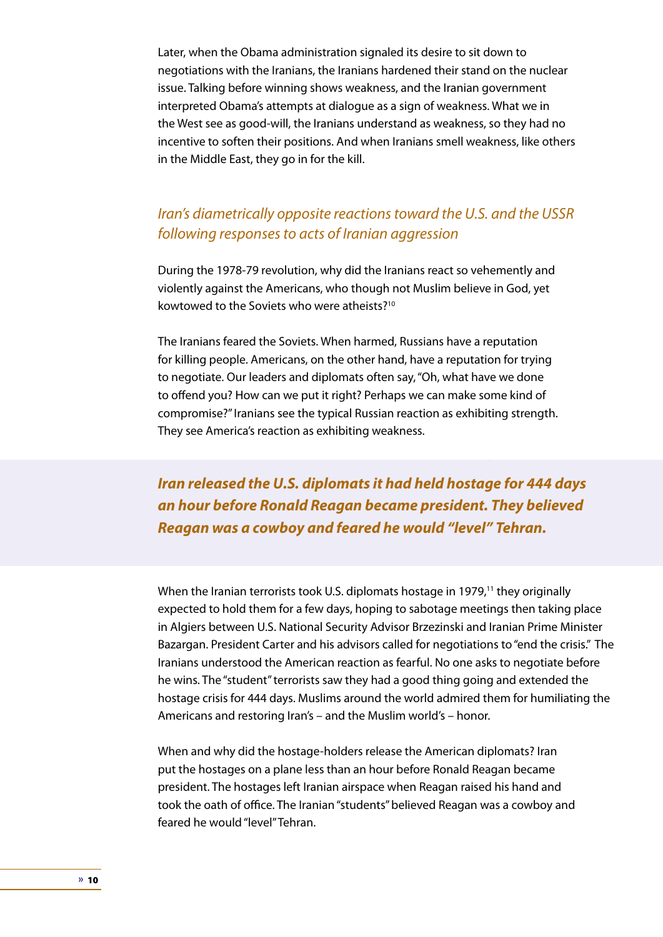Later, when the Obama administration signaled its desire to sit down to negotiations with the Iranians, the Iranians hardened their stand on the nuclear issue. Talking before winning shows weakness, and the Iranian government interpreted Obama's attempts at dialogue as a sign of weakness. What we in the West see as good-will, the Iranians understand as weakness, so they had no incentive to soften their positions. And when Iranians smell weakness, like others in the Middle East, they go in for the kill.

# *Iran's diametrically opposite reactions toward the U.S. and the USSR following responses to acts of Iranian aggression*

During the 1978-79 revolution, why did the Iranians react so vehemently and violently against the Americans, who though not Muslim believe in God, yet kowtowed to the Soviets who were atheists?10

The Iranians feared the Soviets. When harmed, Russians have a reputation for killing people. Americans, on the other hand, have a reputation for trying to negotiate. Our leaders and diplomats often say, "Oh, what have we done to offend you? How can we put it right? Perhaps we can make some kind of compromise?" Iranians see the typical Russian reaction as exhibiting strength. They see America's reaction as exhibiting weakness.

# *Iran released the U.S. diplomats it had held hostage for 444 days an hour before Ronald Reagan became president. They believed Reagan was a cowboy and feared he would "level" Tehran.*

When the Iranian terrorists took U.S. diplomats hostage in 1979,<sup>11</sup> they originally expected to hold them for a few days, hoping to sabotage meetings then taking place in Algiers between U.S. National Security Advisor Brzezinski and Iranian Prime Minister Bazargan. President Carter and his advisors called for negotiations to "end the crisis." The Iranians understood the American reaction as fearful. No one asks to negotiate before he wins. The "student" terrorists saw they had a good thing going and extended the hostage crisis for 444 days. Muslims around the world admired them for humiliating the Americans and restoring Iran's – and the Muslim world's – honor.

When and why did the hostage-holders release the American diplomats? Iran put the hostages on a plane less than an hour before Ronald Reagan became president. The hostages left Iranian airspace when Reagan raised his hand and took the oath of office. The Iranian "students" believed Reagan was a cowboy and feared he would "level" Tehran.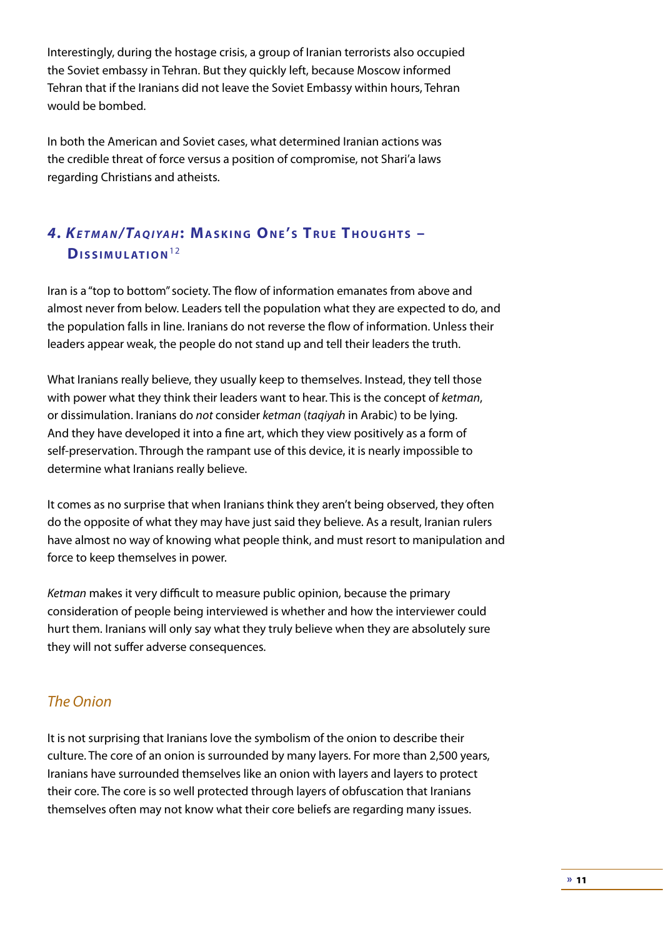Interestingly, during the hostage crisis, a group of Iranian terrorists also occupied the Soviet embassy in Tehran. But they quickly left, because Moscow informed Tehran that if the Iranians did not leave the Soviet Embassy within hours, Tehran would be bombed.

In both the American and Soviet cases, what determined Iranian actions was the credible threat of force versus a position of compromise, not Shari'a laws regarding Christians and atheists.

# *4 . Ketman/Taqiyah***: Masking One 's Tr ue Thoughts – D**ISSIMULATION<sup>12</sup>

Iran is a "top to bottom" society. The flow of information emanates from above and almost never from below. Leaders tell the population what they are expected to do, and the population falls in line. Iranians do not reverse the flow of information. Unless their leaders appear weak, the people do not stand up and tell their leaders the truth.

What Iranians really believe, they usually keep to themselves. Instead, they tell those with power what they think their leaders want to hear. This is the concept of *ketman*, or dissimulation. Iranians do *not* consider *ketman* (*taqiyah* in Arabic) to be lying. And they have developed it into a fine art, which they view positively as a form of self-preservation. Through the rampant use of this device, it is nearly impossible to determine what Iranians really believe.

It comes as no surprise that when Iranians think they aren't being observed, they often do the opposite of what they may have just said they believe. As a result, Iranian rulers have almost no way of knowing what people think, and must resort to manipulation and force to keep themselves in power.

*Ketman* makes it very difficult to measure public opinion, because the primary consideration of people being interviewed is whether and how the interviewer could hurt them. Iranians will only say what they truly believe when they are absolutely sure they will not suffer adverse consequences.

## *The Onion*

It is not surprising that Iranians love the symbolism of the onion to describe their culture. The core of an onion is surrounded by many layers. For more than 2,500 years, Iranians have surrounded themselves like an onion with layers and layers to protect their core. The core is so well protected through layers of obfuscation that Iranians themselves often may not know what their core beliefs are regarding many issues.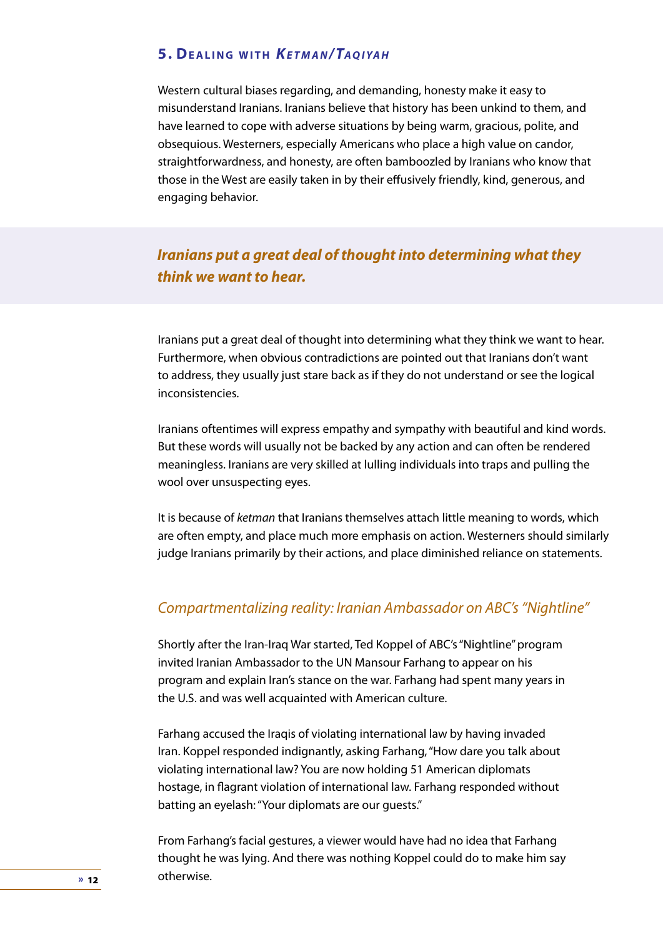#### **5. Dealing with** *Ketman/Taqiyah*

Western cultural biases regarding, and demanding, honesty make it easy to misunderstand Iranians. Iranians believe that history has been unkind to them, and have learned to cope with adverse situations by being warm, gracious, polite, and obsequious. Westerners, especially Americans who place a high value on candor, straightforwardness, and honesty, are often bamboozled by Iranians who know that those in the West are easily taken in by their effusively friendly, kind, generous, and engaging behavior.

# *Iranians put a great deal of thought into determining what they think we want to hear.*

Iranians put a great deal of thought into determining what they think we want to hear. Furthermore, when obvious contradictions are pointed out that Iranians don't want to address, they usually just stare back as if they do not understand or see the logical inconsistencies.

Iranians oftentimes will express empathy and sympathy with beautiful and kind words. But these words will usually not be backed by any action and can often be rendered meaningless. Iranians are very skilled at lulling individuals into traps and pulling the wool over unsuspecting eyes.

It is because of *ketman* that Iranians themselves attach little meaning to words, which are often empty, and place much more emphasis on action. Westerners should similarly judge Iranians primarily by their actions, and place diminished reliance on statements.

## *Compartmentalizing reality: Iranian Ambassador on ABC's "Nightline"*

Shortly after the Iran-Iraq War started, Ted Koppel of ABC's "Nightline" program invited Iranian Ambassador to the UN Mansour Farhang to appear on his program and explain Iran's stance on the war. Farhang had spent many years in the U.S. and was well acquainted with American culture.

Farhang accused the Iraqis of violating international law by having invaded Iran. Koppel responded indignantly, asking Farhang, "How dare you talk about violating international law? You are now holding 51 American diplomats hostage, in flagrant violation of international law. Farhang responded without batting an eyelash: "Your diplomats are our guests."

From Farhang's facial gestures, a viewer would have had no idea that Farhang thought he was lying. And there was nothing Koppel could do to make him say otherwise.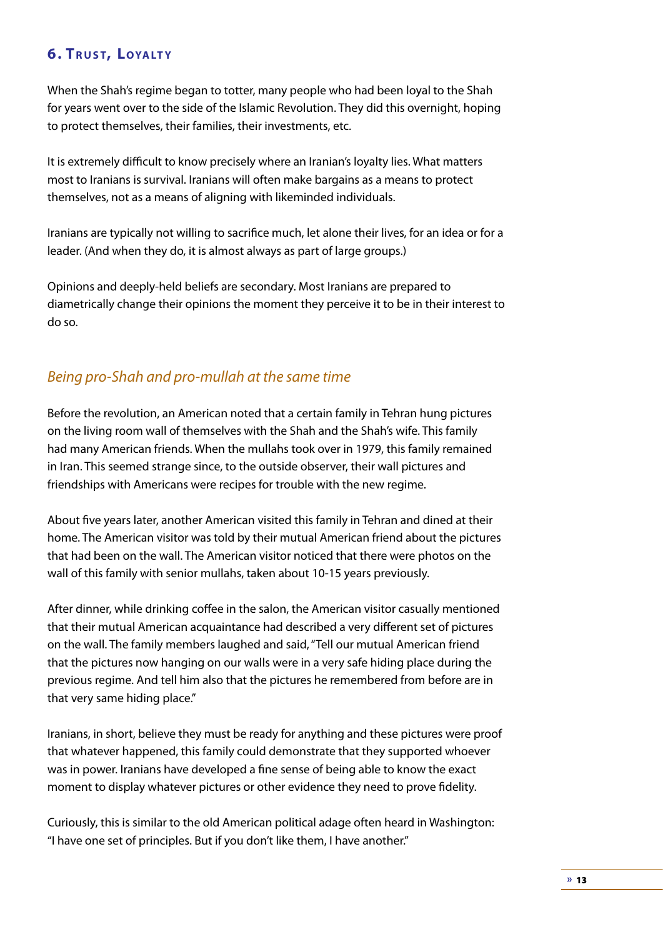## **6.** TRUST, LOYALTY

When the Shah's regime began to totter, many people who had been loyal to the Shah for years went over to the side of the Islamic Revolution. They did this overnight, hoping to protect themselves, their families, their investments, etc.

It is extremely difficult to know precisely where an Iranian's loyalty lies. What matters most to Iranians is survival. Iranians will often make bargains as a means to protect themselves, not as a means of aligning with likeminded individuals.

Iranians are typically not willing to sacrifice much, let alone their lives, for an idea or for a leader. (And when they do, it is almost always as part of large groups.)

Opinions and deeply-held beliefs are secondary. Most Iranians are prepared to diametrically change their opinions the moment they perceive it to be in their interest to do so.

## *Being pro-Shah and pro-mullah at the same time*

Before the revolution, an American noted that a certain family in Tehran hung pictures on the living room wall of themselves with the Shah and the Shah's wife. This family had many American friends. When the mullahs took over in 1979, this family remained in Iran. This seemed strange since, to the outside observer, their wall pictures and friendships with Americans were recipes for trouble with the new regime.

About five years later, another American visited this family in Tehran and dined at their home. The American visitor was told by their mutual American friend about the pictures that had been on the wall. The American visitor noticed that there were photos on the wall of this family with senior mullahs, taken about 10-15 years previously.

After dinner, while drinking coffee in the salon, the American visitor casually mentioned that their mutual American acquaintance had described a very different set of pictures on the wall. The family members laughed and said, "Tell our mutual American friend that the pictures now hanging on our walls were in a very safe hiding place during the previous regime. And tell him also that the pictures he remembered from before are in that very same hiding place."

Iranians, in short, believe they must be ready for anything and these pictures were proof that whatever happened, this family could demonstrate that they supported whoever was in power. Iranians have developed a fine sense of being able to know the exact moment to display whatever pictures or other evidence they need to prove fidelity.

Curiously, this is similar to the old American political adage often heard in Washington: "I have one set of principles. But if you don't like them, I have another."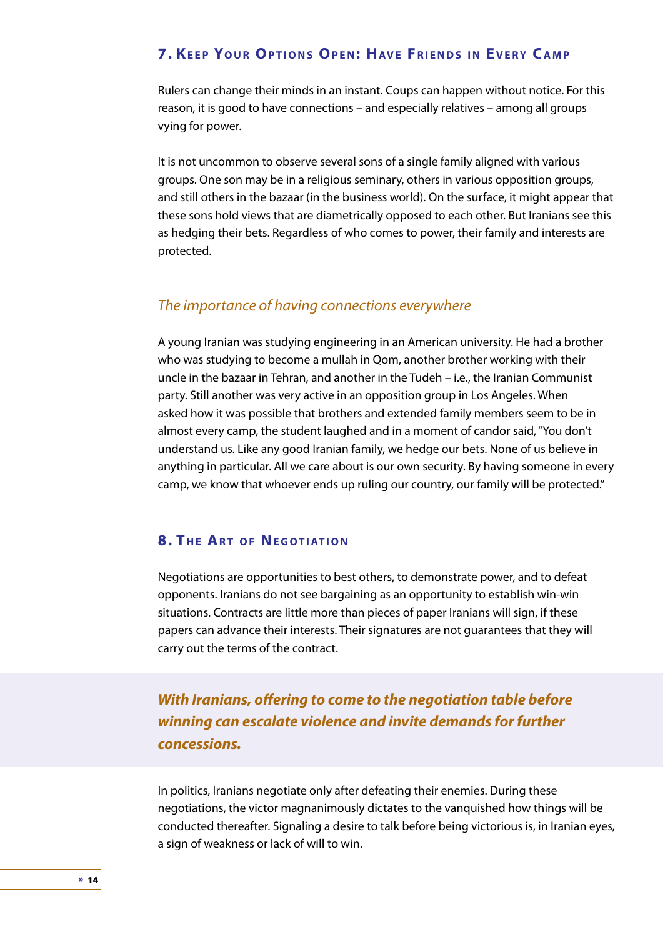#### **7. Keep Your Options Open: Have Fr i en ds i n Ever y Ca m <sup>p</sup>**

Rulers can change their minds in an instant. Coups can happen without notice. For this reason, it is good to have connections – and especially relatives – among all groups vying for power.

It is not uncommon to observe several sons of a single family aligned with various groups. One son may be in a religious seminary, others in various opposition groups, and still others in the bazaar (in the business world). On the surface, it might appear that these sons hold views that are diametrically opposed to each other. But Iranians see this as hedging their bets. Regardless of who comes to power, their family and interests are protected.

#### *The importance of having connections everywhere*

A young Iranian was studying engineering in an American university. He had a brother who was studying to become a mullah in Qom, another brother working with their uncle in the bazaar in Tehran, and another in the Tudeh – i.e., the Iranian Communist party. Still another was very active in an opposition group in Los Angeles. When asked how it was possible that brothers and extended family members seem to be in almost every camp, the student laughed and in a moment of candor said, "You don't understand us. Like any good Iranian family, we hedge our bets. None of us believe in anything in particular. All we care about is our own security. By having someone in every camp, we know that whoever ends up ruling our country, our family will be protected."

#### **8.** THE ART OF NEGOTIATION

Negotiations are opportunities to best others, to demonstrate power, and to defeat opponents. Iranians do not see bargaining as an opportunity to establish win-win situations. Contracts are little more than pieces of paper Iranians will sign, if these papers can advance their interests. Their signatures are not guarantees that they will carry out the terms of the contract.

*With Iranians, offering to come to the negotiation table before winning can escalate violence and invite demands for further concessions.*

In politics, Iranians negotiate only after defeating their enemies. During these negotiations, the victor magnanimously dictates to the vanquished how things will be conducted thereafter. Signaling a desire to talk before being victorious is, in Iranian eyes, a sign of weakness or lack of will to win.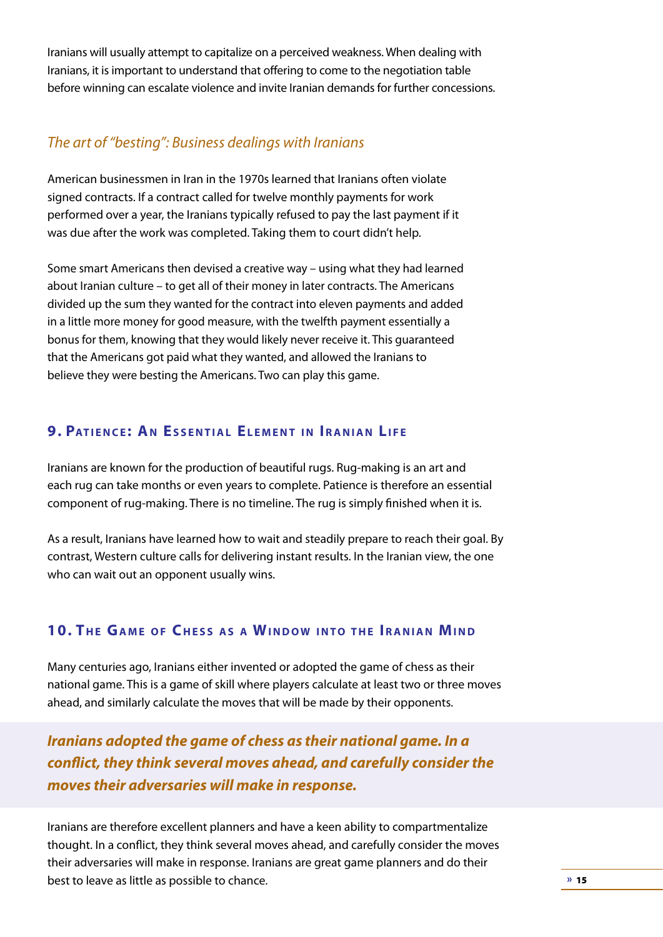Iranians will usually attempt to capitalize on a perceived weakness. When dealing with Iranians, it is important to understand that offering to come to the negotiation table before winning can escalate violence and invite Iranian demands for further concessions.

## *The art of "besting": Business dealings with Iranians*

American businessmen in Iran in the 1970s learned that Iranians often violate signed contracts. If a contract called for twelve monthly payments for work performed over a year, the Iranians typically refused to pay the last payment if it was due after the work was completed. Taking them to court didn't help.

Some smart Americans then devised a creative way – using what they had learned about Iranian culture – to get all of their money in later contracts. The Americans divided up the sum they wanted for the contract into eleven payments and added in a little more money for good measure, with the twelfth payment essentially a bonus for them, knowing that they would likely never receive it. This guaranteed that the Americans got paid what they wanted, and allowed the Iranians to believe they were besting the Americans. Two can play this game.

## **9. Pati en ce : An E ssential El <sup>e</sup> <sup>m</sup> en t i n Iranian Li f <sup>e</sup>**

Iranians are known for the production of beautiful rugs. Rug-making is an art and each rug can take months or even years to complete. Patience is therefore an essential component of rug-making. There is no timeline. The rug is simply finished when it is.

As a result, Iranians have learned how to wait and steadily prepare to reach their goal. By contrast, Western culture calls for delivering instant results. In the Iranian view, the one who can wait out an opponent usually wins.

### **10. The Ga m <sup>e</sup> o f Chess as <sup>a</sup> Window into t he Iranian Mind**

Many centuries ago, Iranians either invented or adopted the game of chess as their national game. This is a game of skill where players calculate at least two or three moves ahead, and similarly calculate the moves that will be made by their opponents.

*Iranians adopted the game of chess as their national game. In a conflict, they think several moves ahead, and carefully consider the moves their adversaries will make in response.* 

Iranians are therefore excellent planners and have a keen ability to compartmentalize thought. In a conflict, they think several moves ahead, and carefully consider the moves their adversaries will make in response. Iranians are great game planners and do their best to leave as little as possible to chance.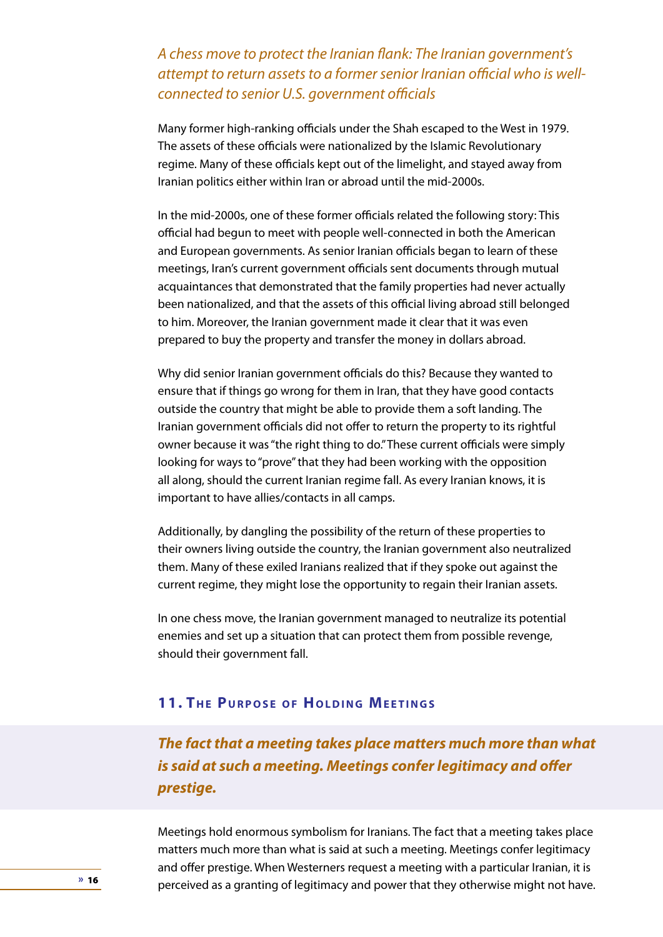*A chess move to protect the Iranian flank: The Iranian government's attempt to return assets to a former senior Iranian official who is wellconnected to senior U.S. government officials*

Many former high-ranking officials under the Shah escaped to the West in 1979. The assets of these officials were nationalized by the Islamic Revolutionary regime. Many of these officials kept out of the limelight, and stayed away from Iranian politics either within Iran or abroad until the mid-2000s.

In the mid-2000s, one of these former officials related the following story: This official had begun to meet with people well-connected in both the American and European governments. As senior Iranian officials began to learn of these meetings, Iran's current government officials sent documents through mutual acquaintances that demonstrated that the family properties had never actually been nationalized, and that the assets of this official living abroad still belonged to him. Moreover, the Iranian government made it clear that it was even prepared to buy the property and transfer the money in dollars abroad.

Why did senior Iranian government officials do this? Because they wanted to ensure that if things go wrong for them in Iran, that they have good contacts outside the country that might be able to provide them a soft landing. The Iranian government officials did not offer to return the property to its rightful owner because it was "the right thing to do." These current officials were simply looking for ways to "prove" that they had been working with the opposition all along, should the current Iranian regime fall. As every Iranian knows, it is important to have allies/contacts in all camps.

Additionally, by dangling the possibility of the return of these properties to their owners living outside the country, the Iranian government also neutralized them. Many of these exiled Iranians realized that if they spoke out against the current regime, they might lose the opportunity to regain their Iranian assets.

In one chess move, the Iranian government managed to neutralize its potential enemies and set up a situation that can protect them from possible revenge, should their government fall.

## **11.** The PURPOSE OF HOLDING MEETINGS

*The fact that a meeting takes place matters much more than what is said at such a meeting. Meetings confer legitimacy and offer prestige.*

Meetings hold enormous symbolism for Iranians. The fact that a meeting takes place matters much more than what is said at such a meeting. Meetings confer legitimacy and offer prestige. When Westerners request a meeting with a particular Iranian, it is perceived as a granting of legitimacy and power that they otherwise might not have.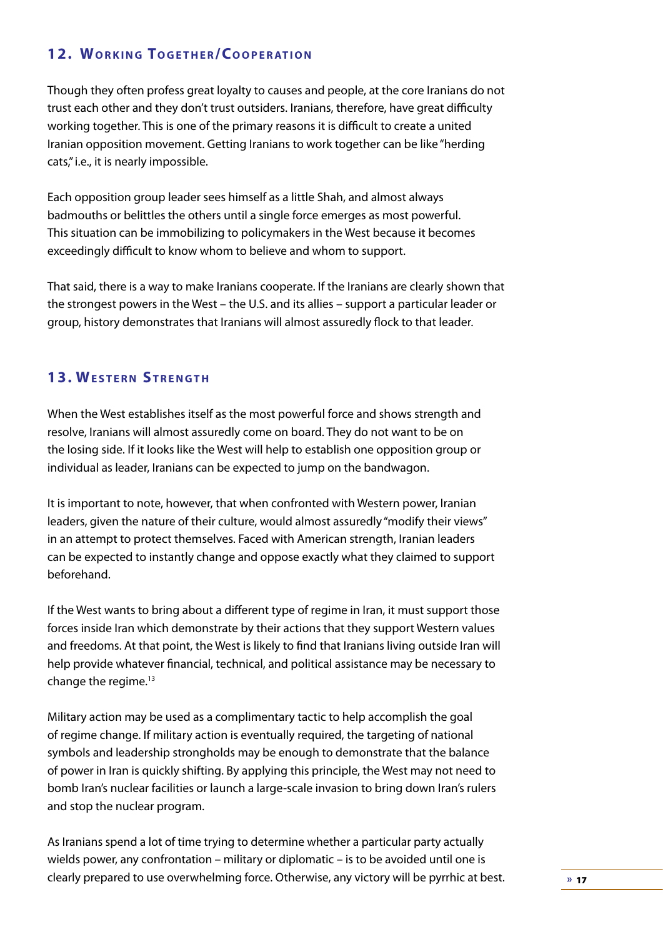## **12. WORKING TOGETHER/COOPERATION**

Though they often profess great loyalty to causes and people, at the core Iranians do not trust each other and they don't trust outsiders. Iranians, therefore, have great difficulty working together. This is one of the primary reasons it is difficult to create a united Iranian opposition movement. Getting Iranians to work together can be like "herding cats," i.e., it is nearly impossible.

Each opposition group leader sees himself as a little Shah, and almost always badmouths or belittles the others until a single force emerges as most powerful. This situation can be immobilizing to policymakers in the West because it becomes exceedingly difficult to know whom to believe and whom to support.

That said, there is a way to make Iranians cooperate. If the Iranians are clearly shown that the strongest powers in the West – the U.S. and its allies – support a particular leader or group, history demonstrates that Iranians will almost assuredly flock to that leader.

## **13. WESTERN STRENGTH**

When the West establishes itself as the most powerful force and shows strength and resolve, Iranians will almost assuredly come on board. They do not want to be on the losing side. If it looks like the West will help to establish one opposition group or individual as leader, Iranians can be expected to jump on the bandwagon.

It is important to note, however, that when confronted with Western power, Iranian leaders, given the nature of their culture, would almost assuredly "modify their views" in an attempt to protect themselves. Faced with American strength, Iranian leaders can be expected to instantly change and oppose exactly what they claimed to support beforehand.

If the West wants to bring about a different type of regime in Iran, it must support those forces inside Iran which demonstrate by their actions that they support Western values and freedoms. At that point, the West is likely to find that Iranians living outside Iran will help provide whatever financial, technical, and political assistance may be necessary to change the regime. $13$ 

Military action may be used as a complimentary tactic to help accomplish the goal of regime change. If military action is eventually required, the targeting of national symbols and leadership strongholds may be enough to demonstrate that the balance of power in Iran is quickly shifting. By applying this principle, the West may not need to bomb Iran's nuclear facilities or launch a large-scale invasion to bring down Iran's rulers and stop the nuclear program.

As Iranians spend a lot of time trying to determine whether a particular party actually wields power, any confrontation – military or diplomatic – is to be avoided until one is clearly prepared to use overwhelming force. Otherwise, any victory will be pyrrhic at best.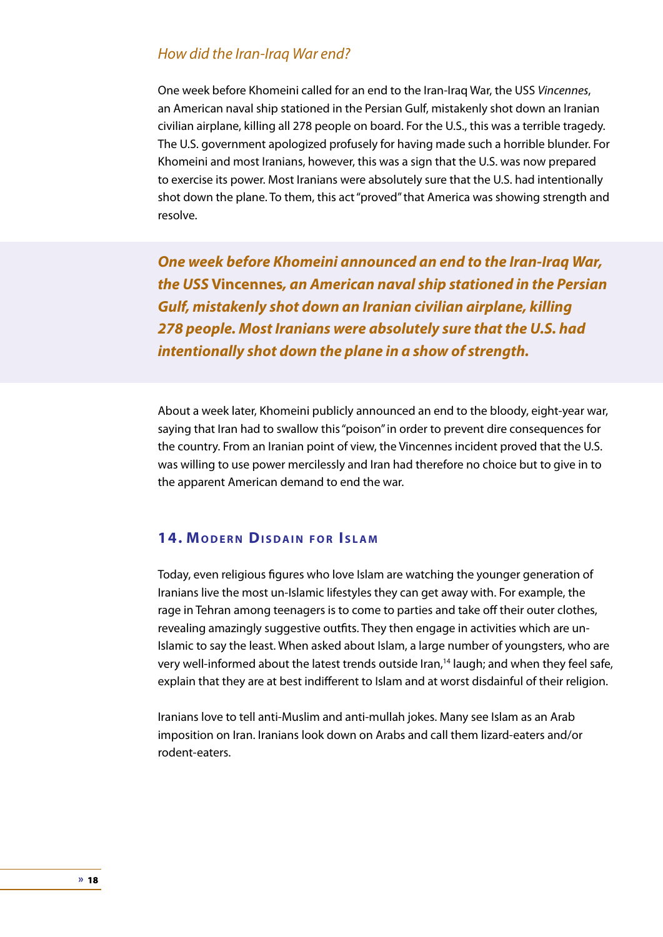#### *How did the Iran-Iraq War end?*

One week before Khomeini called for an end to the Iran-Iraq War, the USS *Vincennes*, an American naval ship stationed in the Persian Gulf, mistakenly shot down an Iranian civilian airplane, killing all 278 people on board. For the U.S., this was a terrible tragedy. The U.S. government apologized profusely for having made such a horrible blunder. For Khomeini and most Iranians, however, this was a sign that the U.S. was now prepared to exercise its power. Most Iranians were absolutely sure that the U.S. had intentionally shot down the plane. To them, this act "proved" that America was showing strength and resolve.

*One week before Khomeini announced an end to the Iran-Iraq War, the USS* **Vincennes***, an American naval ship stationed in the Persian Gulf, mistakenly shot down an Iranian civilian airplane, killing 278 people. Most Iranians were absolutely sure that the U.S. had intentionally shot down the plane in a show of strength.*

About a week later, Khomeini publicly announced an end to the bloody, eight-year war, saying that Iran had to swallow this "poison" in order to prevent dire consequences for the country. From an Iranian point of view, the Vincennes incident proved that the U.S. was willing to use power mercilessly and Iran had therefore no choice but to give in to the apparent American demand to end the war.

#### **14. Mo der n Di sdain for I <sup>s</sup> lam**

Today, even religious figures who love Islam are watching the younger generation of Iranians live the most un-Islamic lifestyles they can get away with. For example, the rage in Tehran among teenagers is to come to parties and take off their outer clothes, revealing amazingly suggestive outfits. They then engage in activities which are un-Islamic to say the least. When asked about Islam, a large number of youngsters, who are very well-informed about the latest trends outside Iran,<sup>14</sup> laugh; and when they feel safe, explain that they are at best indifferent to Islam and at worst disdainful of their religion.

Iranians love to tell anti-Muslim and anti-mullah jokes. Many see Islam as an Arab imposition on Iran. Iranians look down on Arabs and call them lizard-eaters and/or rodent-eaters.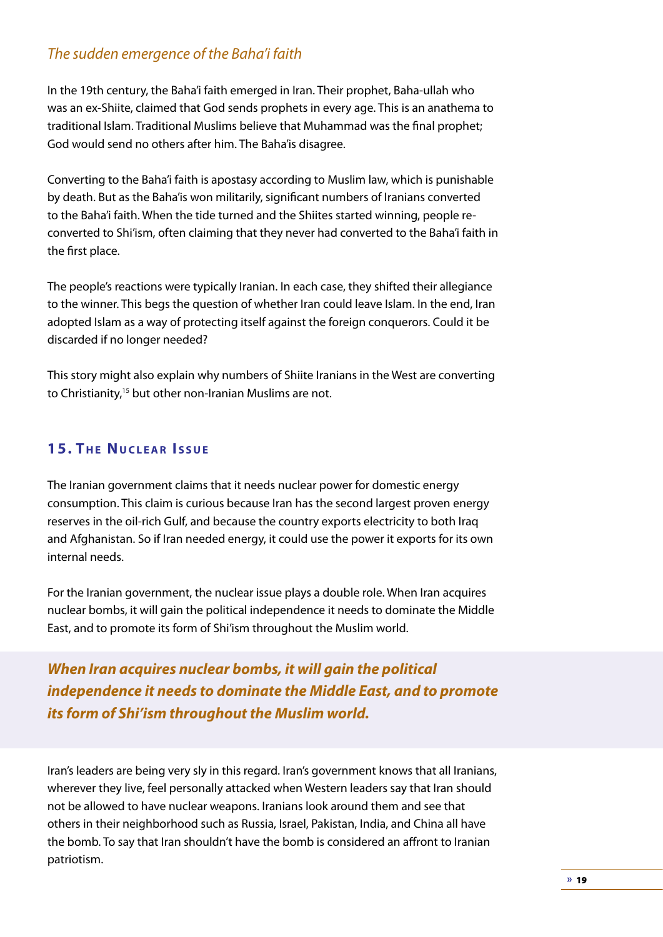## *The sudden emergence of the Baha'i faith*

In the 19th century, the Baha'i faith emerged in Iran. Their prophet, Baha-ullah who was an ex-Shiite, claimed that God sends prophets in every age. This is an anathema to traditional Islam. Traditional Muslims believe that Muhammad was the final prophet; God would send no others after him. The Baha'is disagree.

Converting to the Baha'i faith is apostasy according to Muslim law, which is punishable by death. But as the Baha'is won militarily, significant numbers of Iranians converted to the Baha'i faith. When the tide turned and the Shiites started winning, people reconverted to Shi'ism, often claiming that they never had converted to the Baha'i faith in the first place.

The people's reactions were typically Iranian. In each case, they shifted their allegiance to the winner. This begs the question of whether Iran could leave Islam. In the end, Iran adopted Islam as a way of protecting itself against the foreign conquerors. Could it be discarded if no longer needed?

This story might also explain why numbers of Shiite Iranians in the West are converting to Christianity,15 but other non-Iranian Muslims are not.

## **15. The Nucl ea r I ssue**

The Iranian government claims that it needs nuclear power for domestic energy consumption. This claim is curious because Iran has the second largest proven energy reserves in the oil-rich Gulf, and because the country exports electricity to both Iraq and Afghanistan. So if Iran needed energy, it could use the power it exports for its own internal needs.

For the Iranian government, the nuclear issue plays a double role. When Iran acquires nuclear bombs, it will gain the political independence it needs to dominate the Middle East, and to promote its form of Shi'ism throughout the Muslim world.

*When Iran acquires nuclear bombs, it will gain the political independence it needs to dominate the Middle East, and to promote its form of Shi'ism throughout the Muslim world.*

Iran's leaders are being very sly in this regard. Iran's government knows that all Iranians, wherever they live, feel personally attacked when Western leaders say that Iran should not be allowed to have nuclear weapons. Iranians look around them and see that others in their neighborhood such as Russia, Israel, Pakistan, India, and China all have the bomb. To say that Iran shouldn't have the bomb is considered an affront to Iranian patriotism.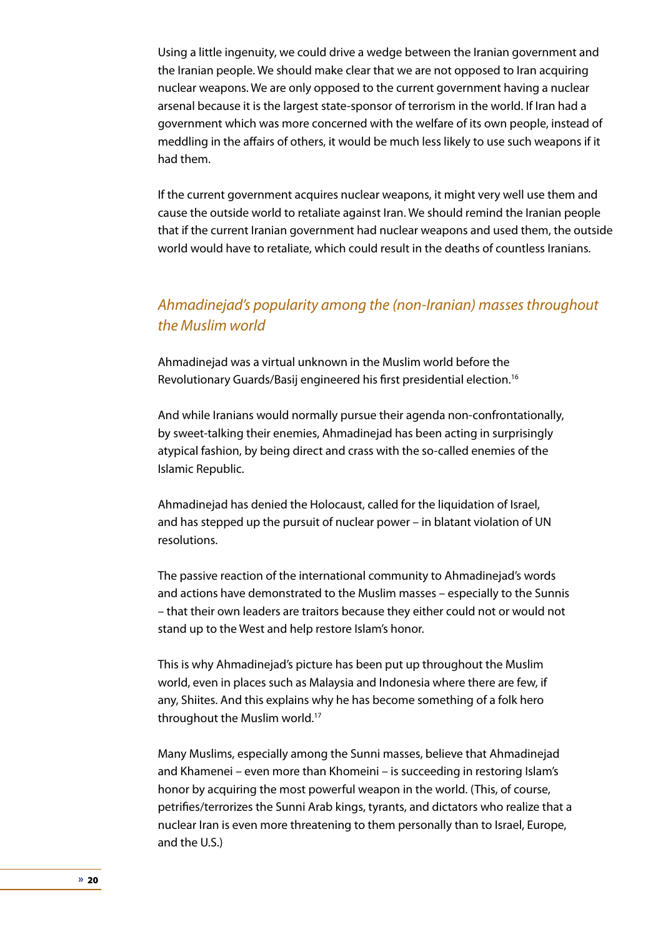Using a little ingenuity, we could drive a wedge between the Iranian government and the Iranian people. We should make clear that we are not opposed to Iran acquiring nuclear weapons. We are only opposed to the current government having a nuclear arsenal because it is the largest state-sponsor of terrorism in the world. If Iran had a government which was more concerned with the welfare of its own people, instead of meddling in the affairs of others, it would be much less likely to use such weapons if it had them.

If the current government acquires nuclear weapons, it might very well use them and cause the outside world to retaliate against Iran. We should remind the Iranian people that if the current Iranian government had nuclear weapons and used them, the outside world would have to retaliate, which could result in the deaths of countless Iranians.

# *Ahmadinejad's popularity among the (non-Iranian) masses throughout the Muslim world*

Ahmadinejad was a virtual unknown in the Muslim world before the Revolutionary Guards/Basij engineered his first presidential election.16

And while Iranians would normally pursue their agenda non-confrontationally, by sweet-talking their enemies, Ahmadinejad has been acting in surprisingly atypical fashion, by being direct and crass with the so-called enemies of the Islamic Republic.

Ahmadinejad has denied the Holocaust, called for the liquidation of Israel, and has stepped up the pursuit of nuclear power – in blatant violation of UN resolutions.

The passive reaction of the international community to Ahmadinejad's words and actions have demonstrated to the Muslim masses – especially to the Sunnis – that their own leaders are traitors because they either could not or would not stand up to the West and help restore Islam's honor.

This is why Ahmadinejad's picture has been put up throughout the Muslim world, even in places such as Malaysia and Indonesia where there are few, if any, Shiites. And this explains why he has become something of a folk hero throughout the Muslim world.17

Many Muslims, especially among the Sunni masses, believe that Ahmadinejad and Khamenei – even more than Khomeini – is succeeding in restoring Islam's honor by acquiring the most powerful weapon in the world. (This, of course, petrifies/terrorizes the Sunni Arab kings, tyrants, and dictators who realize that a nuclear Iran is even more threatening to them personally than to Israel, Europe, and the U.S.)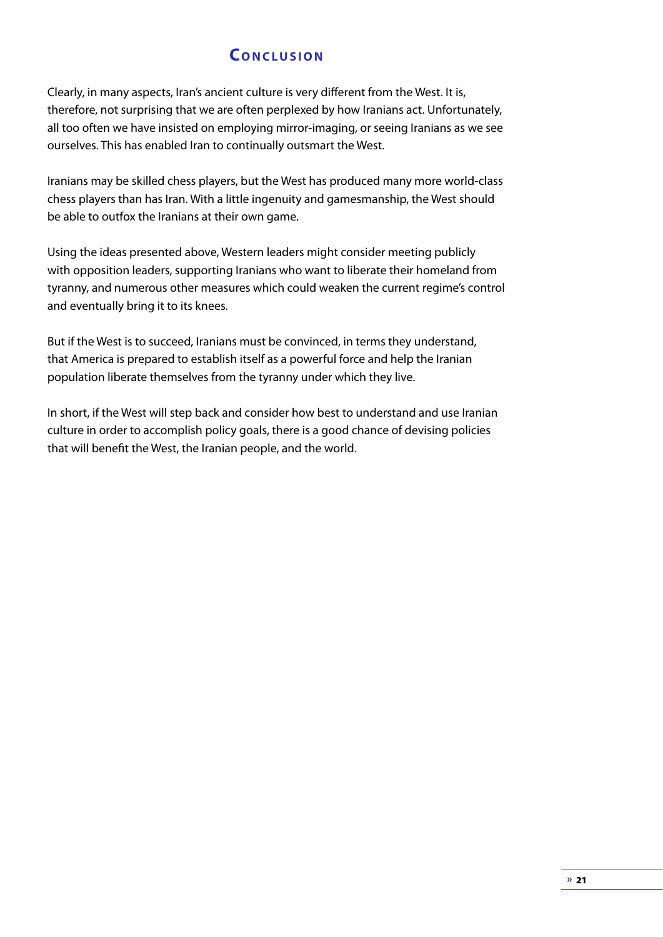# **Conclus ion**

Clearly, in many aspects, Iran's ancient culture is very different from the West. It is, therefore, not surprising that we are often perplexed by how Iranians act. Unfortunately, all too often we have insisted on employing mirror-imaging, or seeing Iranians as we see ourselves. This has enabled Iran to continually outsmart the West.

Iranians may be skilled chess players, but the West has produced many more world-class chess players than has Iran. With a little ingenuity and gamesmanship, the West should be able to outfox the Iranians at their own game.

Using the ideas presented above, Western leaders might consider meeting publicly with opposition leaders, supporting Iranians who want to liberate their homeland from tyranny, and numerous other measures which could weaken the current regime's control and eventually bring it to its knees.

But if the West is to succeed, Iranians must be convinced, in terms they understand, that America is prepared to establish itself as a powerful force and help the Iranian population liberate themselves from the tyranny under which they live.

In short, if the West will step back and consider how best to understand and use Iranian culture in order to accomplish policy goals, there is a good chance of devising policies that will benefit the West, the Iranian people, and the world.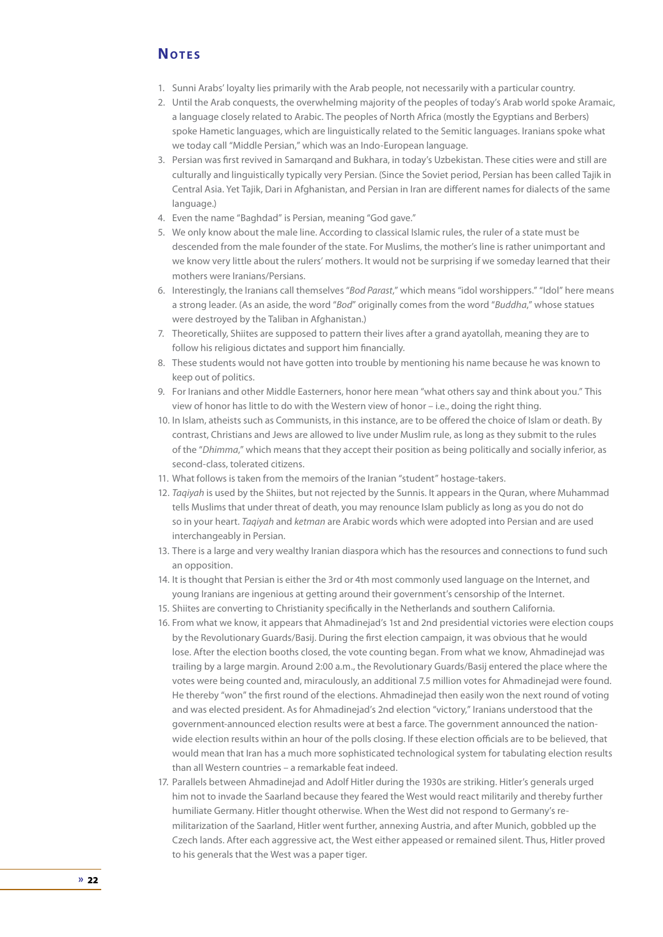#### **No t es**

- 1. Sunni Arabs' loyalty lies primarily with the Arab people, not necessarily with a particular country.
- 2. Until the Arab conquests, the overwhelming majority of the peoples of today's Arab world spoke Aramaic, a language closely related to Arabic. The peoples of North Africa (mostly the Egyptians and Berbers) spoke Hametic languages, which are linguistically related to the Semitic languages. Iranians spoke what we today call "Middle Persian," which was an Indo-European language.
- 3. Persian was first revived in Samarqand and Bukhara, in today's Uzbekistan. These cities were and still are culturally and linguistically typically very Persian. (Since the Soviet period, Persian has been called Tajik in Central Asia. Yet Tajik, Dari in Afghanistan, and Persian in Iran are different names for dialects of the same language.)
- 4. Even the name "Baghdad" is Persian, meaning "God gave."
- 5. We only know about the male line. According to classical Islamic rules, the ruler of a state must be descended from the male founder of the state. For Muslims, the mother's line is rather unimportant and we know very little about the rulers' mothers. It would not be surprising if we someday learned that their mothers were Iranians/Persians.
- 6. Interestingly, the Iranians call themselves "*Bod Parast*," which means "idol worshippers." "Idol" here means a strong leader. (As an aside, the word "*Bod*" originally comes from the word "*Buddha*," whose statues were destroyed by the Taliban in Afghanistan.)
- 7. Theoretically, Shiites are supposed to pattern their lives after a grand ayatollah, meaning they are to follow his religious dictates and support him financially.
- 8. These students would not have gotten into trouble by mentioning his name because he was known to keep out of politics.
- 9. For Iranians and other Middle Easterners, honor here mean "what others say and think about you." This view of honor has little to do with the Western view of honor – i.e., doing the right thing.
- 10. In Islam, atheists such as Communists, in this instance, are to be offered the choice of Islam or death. By contrast, Christians and Jews are allowed to live under Muslim rule, as long as they submit to the rules of the "*Dhimma*," which means that they accept their position as being politically and socially inferior, as second-class, tolerated citizens.
- 11. What follows is taken from the memoirs of the Iranian "student" hostage-takers.
- 12. *Taqiyah* is used by the Shiites, but not rejected by the Sunnis. It appears in the Quran, where Muhammad tells Muslims that under threat of death, you may renounce Islam publicly as long as you do not do so in your heart. *Taqiyah* and *ketman* are Arabic words which were adopted into Persian and are used interchangeably in Persian.
- 13. There is a large and very wealthy Iranian diaspora which has the resources and connections to fund such an opposition.
- 14. It is thought that Persian is either the 3rd or 4th most commonly used language on the Internet, and young Iranians are ingenious at getting around their government's censorship of the Internet.
- 15. Shiites are converting to Christianity specifically in the Netherlands and southern California.
- 16. From what we know, it appears that Ahmadinejad's 1st and 2nd presidential victories were election coups by the Revolutionary Guards/Basij. During the first election campaign, it was obvious that he would lose. After the election booths closed, the vote counting began. From what we know, Ahmadinejad was trailing by a large margin. Around 2:00 a.m., the Revolutionary Guards/Basij entered the place where the votes were being counted and, miraculously, an additional 7.5 million votes for Ahmadinejad were found. He thereby "won" the first round of the elections. Ahmadinejad then easily won the next round of voting and was elected president. As for Ahmadinejad's 2nd election "victory," Iranians understood that the government-announced election results were at best a farce. The government announced the nationwide election results within an hour of the polls closing. If these election officials are to be believed, that would mean that Iran has a much more sophisticated technological system for tabulating election results than all Western countries – a remarkable feat indeed.
- 17. Parallels between Ahmadinejad and Adolf Hitler during the 1930s are striking. Hitler's generals urged him not to invade the Saarland because they feared the West would react militarily and thereby further humiliate Germany. Hitler thought otherwise. When the West did not respond to Germany's remilitarization of the Saarland, Hitler went further, annexing Austria, and after Munich, gobbled up the Czech lands. After each aggressive act, the West either appeased or remained silent. Thus, Hitler proved to his generals that the West was a paper tiger.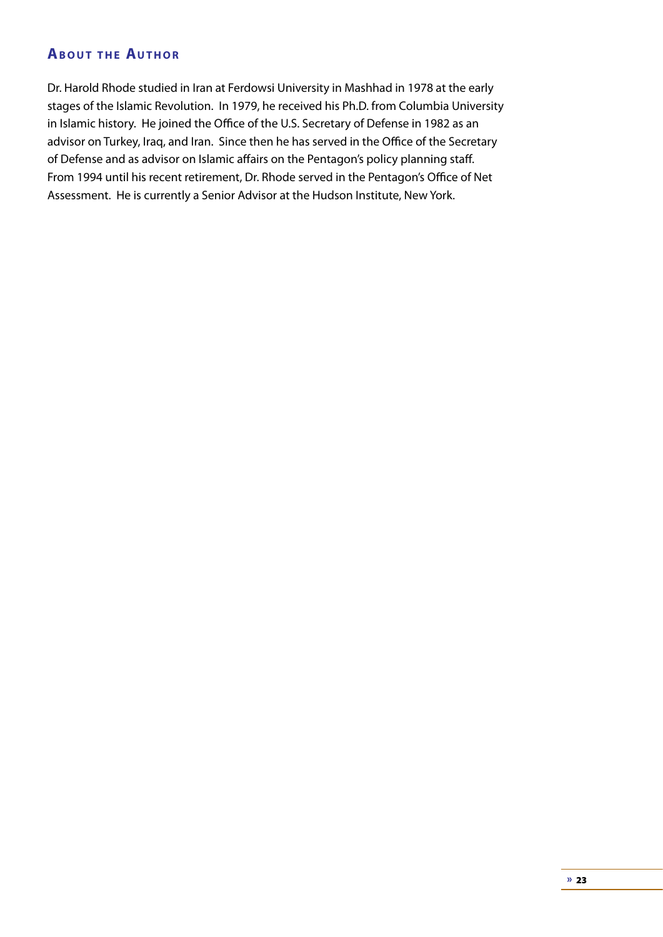## **ABOUT THE AUTHOR**

Dr. Harold Rhode studied in Iran at Ferdowsi University in Mashhad in 1978 at the early stages of the Islamic Revolution. In 1979, he received his Ph.D. from Columbia University in Islamic history. He joined the Office of the U.S. Secretary of Defense in 1982 as an advisor on Turkey, Iraq, and Iran. Since then he has served in the Office of the Secretary of Defense and as advisor on Islamic affairs on the Pentagon's policy planning staff. From 1994 until his recent retirement, Dr. Rhode served in the Pentagon's Office of Net Assessment. He is currently a Senior Advisor at the Hudson Institute, New York.